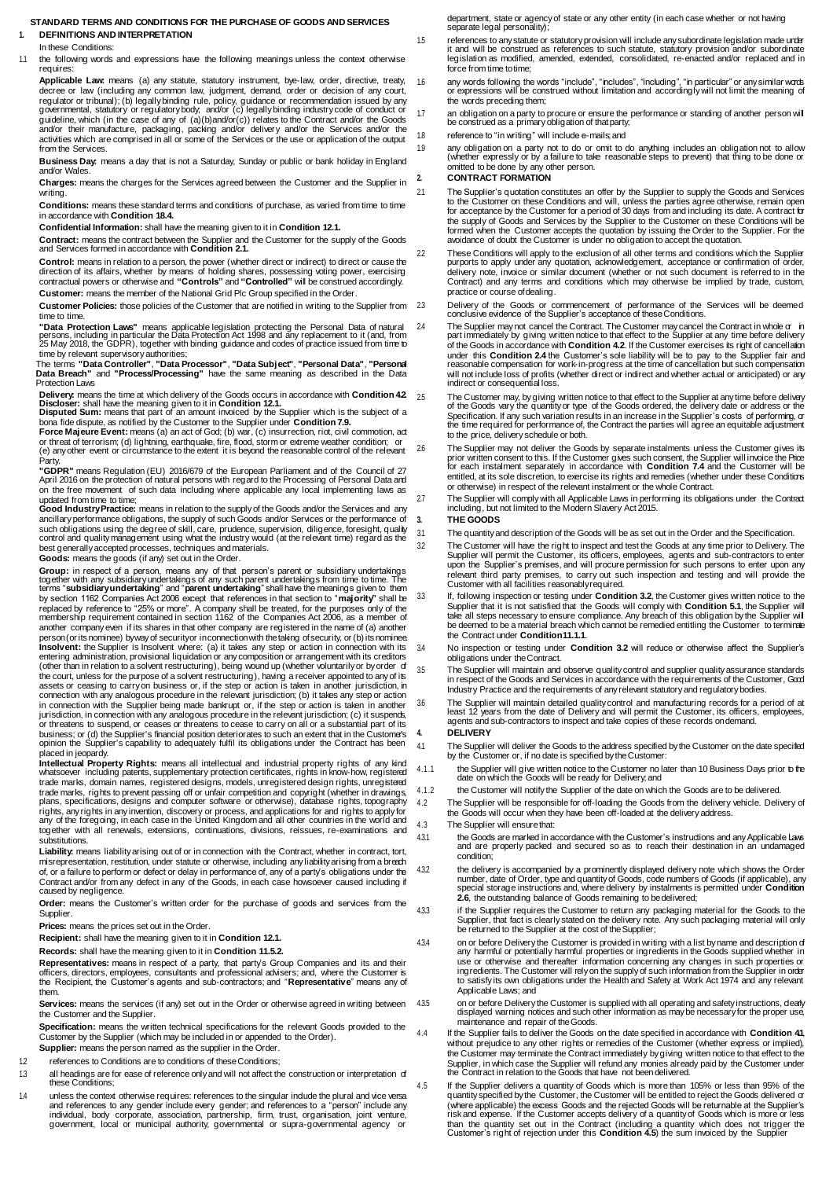# <span id="page-0-7"></span>**STANDARD TERMS AND CONDITIONS FOR THE PURCHASE OF GOODS AND SERVICES 1. DEFINITIONS AND INTERPRETATION**

### In these Conditions:

1.1 the following words and expressions have the following meanings unless the context otherwise requires:

**Applicable Law:** means (a) any statute, statutory instrument, bye-law, order, directive, treaty, decree or law (including any common law, judgment, demand, order or decision of any court, regulator or tribunal); (b) legally binding rule, policy, guidance or recommendation issued by any governmental, statutory or regulatory body; and/or (c) legally binding industry code of conduct or guideline, which (in the case of any of (a)(b)and/or(c)) relates to the Contract and/or the Goods and/or their manufacture, packaging, packing and/or delivery and/or the Services and/or the activities which are comprised in all or some of the Services or the use or application of the output from the Services.

**Business Day:** means a day that is not a Saturday, Sunday or public or bank holiday in England and/or Wales.

**Charges:** means the charges for the Services agreed between the Customer and the Supplier in writing.

**Conditions:** means these standard terms and conditions of purchase, as varied from time to time in accordance with **Conditio[n 18.4.](#page-3-0)**

**Confidential Information:** shall have the meaning given to it in **Conditio[n 12.1.](#page-2-0)**

**Contract:** means the contract between the Supplier and the Customer for the supply of the Goods and Services formed in accordance with **Conditio[n 2.1.](#page-0-0)**

**Control:** means in relation to a person, the power (whether direct or indirect) to direct or cause the<br>direction of its affairs, whether by means of holding shares, possessing voting power, exercising<br>contractual powers o

**Customer:** means the member of the National Grid Plc Group specified in the Order.

**Customer Policies:** those policies of the Customer that are notified in writing to the Supplier from time to time.

"**Data Protection Laws**" means applicable legislation protecting the Personal Data of natural<br>persons, including in particular the Data Protection Act 1998 and any replacement to it (and, from<br>25 May 2018, the GDPR), toget

The terms **"Data Controller"**, **"Data Processor"**, **"Data Subject"**, **"Personal Data"**, **"Personal Data Breach"** and **"Process/Processing"** have the same meaning as described in the Data Protection Laws

**Delivery**: means the time at which delivery of the Goods occurs in accordance with **Condition 42**<br>**Discloser:** shall have the meaning given to it in **Conditio[n 12.1.](#page-2-0)**<br>**Disputed Sum:** means that part of an amount invoiced

bona fide dispute, as notified by the Customer to the Supplier under **Conditio[n 7.9.](#page-1-0)**<br>**Force Majeure Event:** means (a) an act of God; (b) war, (c) insurrection, riot, civil commotion, act<br>or threat of terrorism; (d) lightn

**"GDPR"** means Regulation (EU) 2016/679 of the European Parliament and of the Council of 27 April 2016 on the protection of natural persons with regard to the Processing of Personal Data and on the free movement of such data including where applicable any local implementing laws as

updated from time to time;<br>**Good IndustryPractice**: means in relation to the supply of the Goods and/or the Services and any<br>ancillary performance obligations, the supply of such Goods and/or Services or the performance of such obligations using the degree of skill, care, prudence, supervision, diligence, foresight, quality control and quality management using what the industry would (at the relevant time) regard as the best generally accepted processes, techniques andmaterials. **Goods:** means the goods (if any) set out in the Order.

**Group:** in respect of a person, means any of that person's parent or subsidiary undertakings together with any subsidiary undertakings of any such parent undertakings from time to time. The<br>terms "subsidiary undertaking" and "parent undertaking" shall have the meanings given to them<br>by section 1162 Companies Act 2 another companyeven if its shares in that other company are registered in the name of (a) another<br>person (or its nominee) byway of securityor in connection with the taking of security, or (b) its nominee<br>**Insolvent:** the S (other than in relation to a solvent restructuring), being wound up (whether voluntarily or by order  $\,$  of<br>the court, unless for the purpose of a solvent restructuring), having a receiver appointed to any of its assets or ceasing to carryon business or, if the step or action is taken in another jurisdiction, in<br>connection with any analogous procedure in the relevant jurisdiction; (b) it takes any step or action<br>in connection with business; or (d) the Supplier's financial position deteriorates to such an extent that in the Customer's opinion the Supplier's capability to adequately fulfil its obligations under the Contract has been placed in jeopardy.

**Intellectual Property Rights:** means all intellectual and industrial property rights of any kind<br>whatsoever including patents, supplementary protection certificates, rights in know-how, registered<br>trade marks, domain name trade marks, rights to prevent passing off or unfair competition and copyright (whether in drawings, plans, specifications, designs and computer software or otherwise), database rights, topography rights, any rights in any invention, discovery or process, and applications for and rights to apply for any of the foregoing, in each case in the United Kingdom and all other countries in the world and together with all renewals, extensions, continuations, divisions, reissues, re-examinations and substitutions.

**Liability:** means liability arising out of or in connection with the Contract, whether in contract, tort, misrepresentation, restitution, under statute or otherwise, including any liability arising from a breach<br>of, or a failure to perform or defect or delay in performance of, any of a party's obligations under the Contract and/or from any defect in any of the Goods, in each case howsoever caused including if caused by negligence.

**Order:** means the Customer's written order for the purchase of goods and services from the Supplier.

**Prices:** means the prices set out in the Order.

**Recipient:** shall have the meaning given to it in **Conditio[n 12.1.](#page-2-0)**

**Records:** shall have the meaning given to it in **Conditio[n 11.5.2.](#page-2-1)**

**Representatives:** means in respect of a party, that party's Group Companies and its and their officers, directors, employees, consultants and professional advisers; and, where the Customer is the Recipient, the Customer's agents and sub-contractors; and "**Representative**" means any of them.

**Services:** means the services (if any) set out in the Order or otherwise agreed in writing between the Customer and the Supplier.

Specification: means the written technical specifications for the relevant Goods provided to the Customer by the Supplier (which may be included in or appended to the Order). **Supplier:** means the person named as the supplier in the Order.

1.2 references to Conditions are to conditions of these Conditions;

1.3 all headings are for ease of reference only and will not affect the construction or interpretation of these Conditions;

1.4 unless the context otherwise requires: references to the singular include the plural and vice versa and references to any gender include every gender; and references to a "person" include any<br>individual, body corporate, association, partnership, firm, trust, organisation, joint venture,<br>government, local or municipal aut department, state or agency of state or any other entity (in each case whether or not having separate legal personality);

references to any statute or statutory provision will include any subordinate legislation made under<br>it and will be construed as references to such statute, statutory provision and/or subordinate<br>legislation as modified, a force from time totime;

1.6 any words following the words "include", "includes", "including", "in particular" or any similar words or expressions will be construed without limitation and accordingly will not limit the meaning of the words preceding them;

1.7 an obligation on a party to procure or ensure the performance or standing of another person will be construed as a primary obligation of thatparty;

1.8 reference to "in writing" will include e-mails;and

1.9 any obligation on a party not to do or omit to do anything includes an obligation not to allow (whether expressly or by a failure to take reasonable steps to prevent) that thing to be done or omitted to be done by any other person. **2. CONTRACT FORMATION**

<span id="page-0-0"></span>2.1 The Supplier's quotation constitutes an offer by the Supplier to supply the Goods and Services to the Customer on these Conditions and will, unless the parties agree otherwise, remain open<br>for acceptance by the Customer for a period of 30 days from and including its date. A contract for<br>the supply of Goods and Servi

22 These Conditions will apply to the exclusion of all other terms and conditions which the Supplier<br>purports to apply under any quotation, acknowledgement, acceptance or confirmation of order,<br>diviery note, invoice or sim practice or course of dealing.

2.3 Delivery of the Goods or commencement of performance of the Services will be deemed conclusive evidence of the Supplier's acceptance of theseConditions.

<span id="page-0-2"></span>The Supplier may not cancel the Contract. The Customer may cancel the Contract in whole or in<br>part immediately by giving written notice to that effect to the Supplier at any time before delivery<br>of the Goods in accordance under this **Conditio[n 2.4](#page-0-2)** the Customer's sole liability will be to pay to the Supplier fair and reasonable compensation for work-in-progress at the time of cancellation but such compensation will not include loss of profits (whether direct or indirect and whether actual or anticipated) or any indirect or consequential loss.

25 The Customer may, by giving written notice to that effect to the Supplier at any time before delivery<br>of the Goods vary the quantity or type of the Goods ordered, the delivery date or address or the<br>Specification. If an to the price, delivery schedule or both.

<span id="page-0-4"></span>26 The Supplier may not deliver the Goods by separate instalments unless the Customer gives its prior written consent to this. If the Customer gives such consent, the Supplier will invoice the Pice for each instalment sepa or otherwise) in respect of the relevant instalment or the whole Contract.

2.7 The Supplier will comply with all Applicable Laws in performing its obligations under the Contract including, but not limited to the Modern Slavery Act2015.

# **3. THE GOODS**

3.1 The quantityand description of the Goods will be as set out in the Order and the Specification.

<span id="page-0-3"></span>3.2 The Customer will have the right to inspect and test the Goods at any time prior to Delivery. The Supplier will permit the Customer, its officers, employees, agents and sub-contractors to enter upon the Supplier's premises, and will procure permission for such persons to enter upon any relevant third party premises, to carry out such inspection and testing and will provide the Customer with all facilities reasonablyrequired.

33 If, following inspection or testing under **Conditio[n 3.2](#page-0-3)**, the Customer gives written notice to the Supplier that it is not satisfied that the Goods will comply with **Conditio[n 5.1](#page-1-2)**, the Supplier will take all steps nec the Contract under **Conditi[on11.1.1](#page-2-2)**.

3.4 No inspection or testing under **Conditio[n 3.2](#page-0-3)** will reduce or otherwise affect the Supplier's obligations under theContract.

3.5 The Supplier will maintain and observe quality control and supplier quality assurance standards in respect of the Goods and Services in accordance with the requirements of the Customer, Good Industry Practice and the requirements of any relevant statutory and regulatory bodies.

<span id="page-0-8"></span>36 The Supplier will maintain detailed quality control and manufacturing records for a period of at<br>least 12 years from the date of Delivery and will permit the Customer, its officers, employees,<br>agents and sub-contractors **4. DELIVERY**

<span id="page-0-5"></span>4.1 The Supplier will deliver the Goods to the address specified by the Customer on the date specified by the Customer or, if no date is specified by theCustomer:

- 4.1.1 the Supplier will give written notice to the Customer no later than 10 Business Days prior to the date on which the Goods will be ready for Delivery; and
- <span id="page-0-1"></span>4.1.2 the Customer will notify the Supplier of the date on which the Goods are to be delivered.<br>4.2 The Supplier will be responsible for off-loading the Goods from the delivery vehicle. Deliv

The Supplier will be responsible for off-loading the Goods from the delivery vehicle. Delivery of the Goods will occur when they have been off-loaded at the delivery address.

4.3 The Supplier will ensurethat:

- 4.3.1 the Goods are marked in accordance with the Customer's instructions and any Applicable Laws and are properly packed and secured so as to reach their destination in an undamaged condition;
- 4.3.2 the delivery is accompanied by a prominently displayed delivery note which shows the Order number, date of Order, type and quantity of Goods, code numbers of Goods (if applicable), any<br>special storage instructions and, where delivery by instalments is permitted under **Condition**<br>[2.6](#page-0-4), the outstanding balance of G
- 4.3.3 if the Supplier requires the Customer to return any packaging material for the Goods to the Supplier, that fact is clearly stated on the delivery note. Any such packaging material will only be returned to the Supplier at the cost of the Supplier;
- 4.3.4 on or before Delivery the Customer is provided in writing with a list by name and description of any harmful or potentially harmful properties or ingredients in the Goods supplied whether in use or otherwise and thereafter information concerning any changes in such properties or ingredients. The Customer will rely on the supply of such information from the Supplier in order to satisfy its own obligations under the Health and Safety at Work Act 1974 and any relevant Applicable Laws; and
- 4.3.5 on or before Delivery the Customer is supplied with all operating and safety instructions, deaty displayed warning notices and such other information as may be necessary for the proper use, maintenance and repair of theGoods.

4.4 If the Supplier fails to deliver the Goods on the date specified in accordance with **Conditi[on 4.1](#page-0-5)**, without prejudice to any other rights or remedies of the Customer (whether express or implied),<br>the Customer may terminate the Contract immediately by giving written notice to that effect to the<br>Supplier, in which case the

<span id="page-0-6"></span>[4.5](#page-0-6) If the Supplier delivers a quantity of Goods which is more than 105% or less than 95% of the quantity specified by the Customer, the Customer will be entitled to reject the Goods delivered or (where applicable) the ex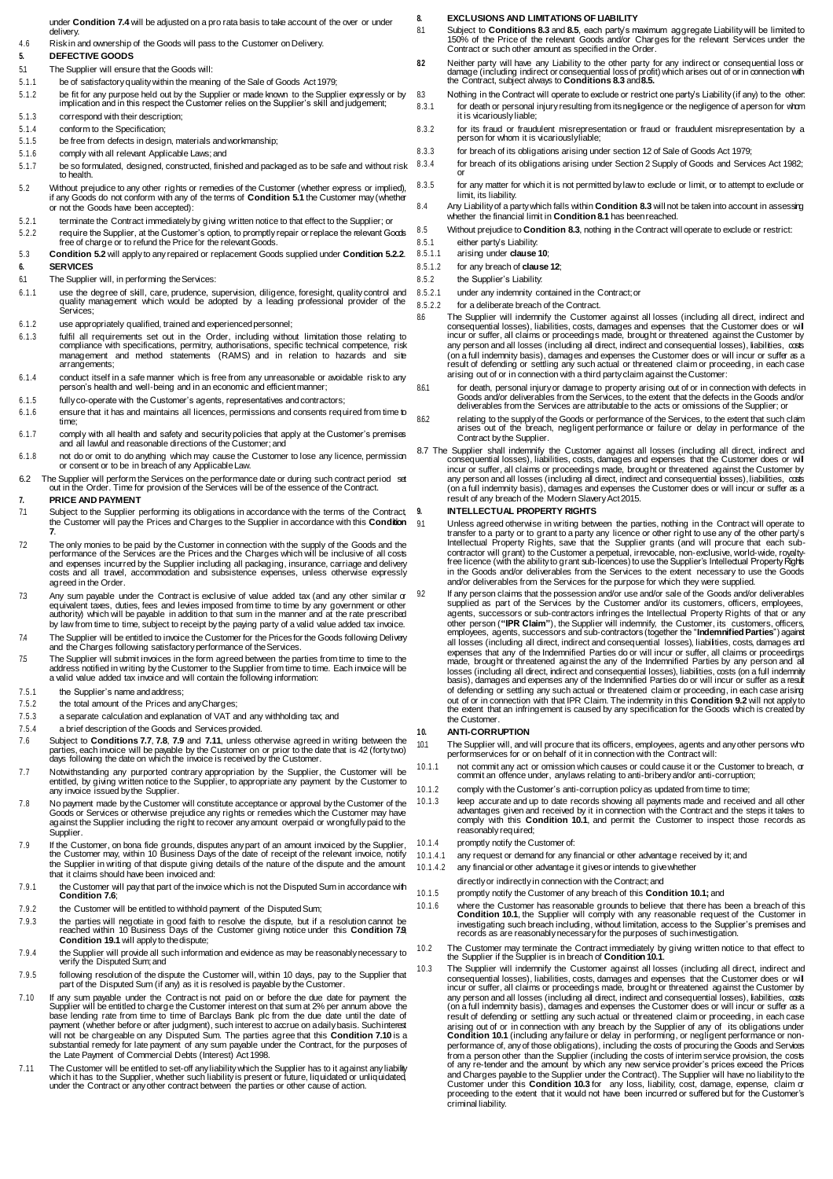- under **Conditio[n 7.4](#page-1-1)** will be adjusted on a pro rata basis to take account of the over or under delivery.
- 4.6 Risk in and ownership of the Goods will pass to the Customer onDelivery.

# <span id="page-1-18"></span>**5. DEFECTIVE GOODS**

- <span id="page-1-2"></span>5.1 The Supplier will ensure that the Goods will:
- 5.1.1 be of satisfactory quality within the meaning of the Sale of Goods Act 1979;
- 5.1.2 be fit for any purpose held out by the Supplier or made known to the Supplier expressly or by implication and in this respect the Customer relies on the Supplier's skill andjudgement;
- 5.1.3 correspond with their description;
- 5.1.4 conform to the Specification;
- 5.1.5 be free from defects in design, materials andworkmanship;
- 5.1.6 comply with all relevant Applicable Laws;and 5.1.7 be so formulated, designed, constructed, finished and packaged as to be safe and without risk
- to health.
- <span id="page-1-3"></span>5.2 Without prejudice to any other rights or remedies of the Customer (whether express or implied), if any Goods do not conform with any of the terms of **Conditio[n 5.1](#page-1-2)** the Customer may (whether or not the Goods have been accepted):
- 5.2.1 terminate the Contract immediatelyby giving written notice to that effect to the Supplier; or 5.2.2 require the Supplier, at the Customer's option, to promptly repair or replace the relevant Goods
- <span id="page-1-4"></span>free of charge or to refund the Price for the relevant Goods. 5.3 **Condition [5.2](#page-1-3)** will apply to anyrepaired or replacement Goods supplied under **Condition [5.2.2](#page-1-4)**.
- **6. SERVICES**
- 6.1 The Supplier will, in performing the Services:
- 6.1.1 use the degree of skill, care, prudence, supervision, diligence, foresight, quality control and quality management which would be adopted by a leading professional provider of the Services;
- 6.1.2 use appropriately qualified, trained and experiencedpersonnel;
- 6.1.3 fulfil all requirements set out in the Order, including without limitation those relating to compliance with specifications, permitry, authorisations, specific technical competence, risk management and method statements (RAMS) and in relation to hazards and site arrangements;
- 6.1.4 conduct itself in a safe manner which is free from any unreasonable or avoidable risk to any person's health and well-being and in an economic and efficient manner.
- 6.1.5 fully co-operate with the Customer's agents, representatives andcontractors;
- 6.1.6 ensure that it has and maintains all licences, permissions and consents required from time to time;
- 6.1.7 comply with all health and safety and security policies that apply at the Customer's premises and all lawful and reasonable directions of the Customer; and
- 6.1.8 not do or omit to do anything which may cause the Customer to lose any licence, permission or consent or to be in breach of any ApplicableLaw.
- 6.2 The Supplier will perform the Services on the performance date or during such contract period set out in the Order. Time for provision of the Services will be of the essence of the Contract.

### <span id="page-1-5"></span>**7. PRICE AND PAYMENT**

- 7.1 Subject to the Supplier performing its obligations in accordance with the terms of the Contract, the Customer will pay the Prices and Charges to the Supplier in accordance with this **Condition [7](#page-1-5)**.
- 7.2 The only monies to be paid by the Customer in connection with the supply of the Goods and the performance of the Services are the Prices and the Charges which will be inclusive of all costs and expenses incurred by the Supplier including all packaging, insurance, carriage and delivery costs and all travel, accommodation and subsistence expenses, unless otherwise expressly agreed in the Order.
- Any sum payable under the Contract is exclusive of value added tax (and any other similar or<br>equivalent taxes, duties, fees and levies imposed from time to time by any government or other<br>authority) which will be payable i by law from time to time, subject to receipt by the paying party of a valid value added tax invoice.
- <span id="page-1-1"></span>7.4 The Supplier will be entitled to invoice the Customer for the Prices for the Goods following Delivery and the Charges following satisfactory performance of theServices.
- 7.5 The Supplier will submit invoices in the form agreed between the parties from time to time to the address notified in writing by the Customer to the Supplier from time to time. Each invoice will be a valid value added tax invoice and will contain the following information:
- 7.5.1 the Supplier's name and address<br>7.5.2 the total amount of the Prices and
- the total amount of the Prices and anyCharges;
- 7.5.3 a separate calculation and explanation of VAT and any withholding tax; and
- 7.5.4 a brief description of the Goods and Services provided.
- <span id="page-1-9"></span>7.6 Subject to **Condition[s 7.7](#page-1-6)**, **[7.8](#page-1-7)**, **[7.9](#page-1-0)** and **[7.11](#page-1-8)**, unless otherwise agreed in writing between the parties, each invoice will be payable by the Customer on or prior to the date that is 42 (forty two) days following the date on which the invoice is received by the Customer.
- <span id="page-1-6"></span>7.7 Notwithstanding any purported contrary appropriation by the Supplier, the Customer will be entitled, by giving written notice to the Supplier, to appropriate any payment by the Customer to any invoice issued by the Supplier.
- <span id="page-1-7"></span>No payment made by the Customer will constitute acceptance or approval by the Customer of the Goods or Services or otherwise prejudice any rights or the Goods of Services or otherwise prejudice any rights or templedies whi Supplier.
- <span id="page-1-0"></span>7.9 If the Customer, on bona fide grounds, disputes any part of an amount invoiced by the Supplier, the Customer may, within 10 Business Days of the date of receipt of the relevant invoice, notify the Supplier in writing of that dispute giving details of the nature of the dispute and the amount that it claims should have been invoiced and:
- 7.9.1 the Customer will pay that part of the invoice which is not the Disputed Sum in accordance with **Condition [7.6](#page-1-9)**;
- 7.9.2 the Customer will be entitled to withhold payment of the Disputed Sum;
- 7.9.3 the parties will negotiate in good faith to resolve the dispute, but if a resolution cannot be reached within 10 Business Days of the Customer giving notice under this **Conditio[n 7.9](#page-1-0)**, **Conditio[n 19.1](#page-3-1)** will apply to thedispute;
- 7.9.4 the Supplier will provide all such information and evidence as may be reasonably necessary to verify the Disputed Sum;and
- 7.9.5 following resolution of the dispute the Customer will, within 10 days, pay to the Supplier that part of the Disputed Sum (if any) as it is resolved is payable bythe Customer.
- <span id="page-1-10"></span>7.10 If any sum payable under the Contract is not paid on or before the due date for payment the Supplier will be entitled to charge the Customer interest on that sum at 2% per annum above the base lending rate from time to time of Barclays Bank plc from the due date until the date of payment (whether before or after the Late Payment of Commercial Debts (Interest) Act 1998.
- <span id="page-1-8"></span>7.11 The Customer will be entitled to set-off any liability which the Supplier has to it against any liability which it has to the Supplier, whether such liability is present or future, liquidated or unliquidated, under the Contract or any other contract between the parties or other cause of action.

### **8. EXCLUSIONS AND LIMITATIONS OF LIABILITY**

- <span id="page-1-13"></span>81 Subject to **Condition[s 8.3](#page-1-11)** and [8.5](#page-1-12), each party's maximum aggregate Liability will be limited to<br>150% of the Price of the relevant Goods and/or Charges for the relevant Services under the<br>Contract or such other amount a
- **8.2** Neither party will have any Liability to the other party for any indirect or consequential loss or damage (including indirect or consequential loss of profit) which arises out of or in connection with the Contract, subject always to **Conditio[ns 8.3](#page-1-11)** and**[8.5.](#page-1-12)**
- <span id="page-1-11"></span>8.3 Nothing in the Contract will operate to exclude or restrict one party's Liability (if any) to the other: 8.3.1 for death or personal injury resulting from its negligence or the negligence of a person for whom it is vicariously liable;
- 8.3.2 for its fraud or fraudulent misrepresentation or fraud or fraudulent misrepresentation by a person for whom it is vicariouslyliable;
- 8.3.3 for breach of its obligations arising under section 12 of Sale of Goods Act 1979;
- 8.3.4 for breach of its obligations arising under Section 2 Supply of Goods and Services Act 1982;
- or 8.3.5 for any matter for which it is not permitted by law to exclude or limit, or to attempt to exclude or limit, its liability.
- 8.4 Any Liability of a party which falls within **Conditio[n 8.3](#page-1-11)** will not be taken into account in assessing whether the financial limit in **Conditi[on 8.1](#page-1-13)** has beenreached.
- <span id="page-1-12"></span>8.5 Without prejudice to **Condition [8.3](#page-1-11)**, nothing in the Contract will operate to exclude or restrict:
- 8.5.1 either party's Liability:<br>8.5.1.1 arising under clause
	- 8.5.1.1 arising under **clause [10](#page-1-14)**;
- 8.5.1.2 for any breach of **clause [12](#page-2-3)**;
- 8.5.2 the Supplier's Liability:
- 8.5.2.1 under any indemnity contained in the Contract or
- 8.5.2.2 for a deliberate breach of the Contract.
- 86 The Supplier will indemnify the Customer against all losses (including all direct, indirect and<br>consequential losses), liabilities, costs, damages and expenses that the Customer does or will<br>incur or suffer, all claims any person and all losses (including all direct, indirect and consequential losses), liabilities, costs (on a full indemnity basis), damages and expenses the Customer does or will incur or suffer as a result of defending or settling any such actual or threatened claim or proceeding, in each case arising out of or in connection with a third party claim against theCustomer:
- tor death, personal injury or damage to property arising out of or in connection with defects in Socids and/or<br>Goods and/or deliverables from the Services, to the extent that the defects in the Goods and/or<br>deliverables fr
- 8.6.2 relating to the supply of the Goods or performance of the Services, to the extent that such claim arises out of the breach, negligent performance or failure or delay in performance of the Contract by the Supplier.
- <span id="page-1-20"></span>8.7 The Supplier shall indemnify the Customer against all losses (including all direct, indirect and consequential losses), liabilities, costs, damages and expenses that the Customer does or will incur or suffer, all claims or proceedings made, brought or threatened against the Customer by any person and all losses (including all direct, indirect and consequential losses), liabilities, costs (on a full indemnity basis), damages and expenses the Customer does or will incur or suffer as a result of any breach of the Modern Slavery Act2015.

## <span id="page-1-19"></span>**9. INTELLECTUAL PROPERTY RIGHTS**

Unless agreed otherwise in writing between the parties, nothing in the Contract will operate to transfer to a party or to grant to a party any licence or other right to use any of the other party's Intellectual Property Rights, save that the Supplier grants (and will procure that each subcontractor will grant) to the Customer a perpetual, irrevocable, non-exclusive, world-wide, royalty-free licence (with the ability to grant sub-licences) to use the Supplier's Intellectual Property Rights in the Goods and/or deliverables from the Services to the extent necessary to use the Goods and/or deliverables from the Services for the purpose for which they were supplied.

<span id="page-1-15"></span>If any person claims that the possession and/or use and/or sale of the Goods and/or deliverables supplied as part of the Services by the Customer and/or its customers, officers, employees, agents, successors or sub-contractors infringes the Intellectual Property Rights of that or any other person ("**IPR Claim**"), the Supplier will indemnify, the Customer, its customers, officers,<br>employees, agents, successors and sub-contractors (together the "**Indemnified Parties**") against<br>all losses (including all d expenses that any of the Indemnified Parties do or will incur or suffer, all claims or proceedings made, brought or threatened against the any of the Indemnified Parties by any person and all<br>losses (including all direct, indirect and consequential losses), liabilities, costs (on a full indemnity<br>basis), damages and exp of defending or settling any such actual or threatened claim or proceeding, in each case arising out of or in connection with that IPR Claim. The indemnity in this **Conditio[n 9.2](#page-1-15)** will not apply to the extent that an infringement is caused by any specification for the Goods which is created by the Customer.

## <span id="page-1-14"></span>**10. ANTI-CORRUPTION**

<span id="page-1-16"></span>10.1 The Supplier will, and will procure that its officers, employees, agents and any other persons who performservices for or on behalf of it in connection with the Contract will:

- 10.1.1 not commit any act or omission which causes or could cause it or the Customer to breach, or commit an offence under, anylaws relating to anti-bribery and/or anti-corruption;
- 10.1.2 comply with the Customer's anti-corruption policyas updated from time to time;
- 10.1.3 keep accurate and up to date records showing all payments made and received and all other advantages given and received by it in connection with the Contract and the steps it takes to comply with this **Conditio[n 10.1](#page-1-16)**, and permit the Customer to inspect those records as reasonably required;
- 10.1.4 promptly notify the Customer of:
- 10.1.4.1 any request or demand for any financial or other advantage received by it; and
- 10.1.4.2 any financial or other advantage it gives or intends to give whether
	- directly or indirectly in connection with the Contract;and
- 10.1.5 promptly notify the Customer of any breach of this **Conditio[n 10.1;](#page-1-16)** and
- 10.1.6 where the Customer has reasonable grounds to believe that there has been a breach of this **Condition 10.1**, the Supplier will comply with any reasonable request of the Customer in investigating such breach including, without limitation, access to the Supplier's premises and records as are reasonably necessary for the purposes of suchinvestigation.
- 10.2 The Customer may terminate the Contract immediately by giving written notice to that effect to the Supplier if the Supplier is in breach of **Condition [10.1](#page-1-16)**.
- <span id="page-1-17"></span>10.3 The Supplier will indemnify the Customer against all losses (including all direct, indirect and consequential losses), liabilities, costs, damages and expenses that the Customer does or will incur or suffer, all claims or proceedings made, brought or threatened against the Customer by any person and all losses (including all direct, indirect and consequential losses), liabilities, costs (on a full indemnity basis), damages and expenses the Customer does or will incur or suffer as a result of defending or settling any such actual or threatened claim or proceeding, in each case arising out of or in connection with any breach by the Supplier of any of its obligations under<br>Conditio[n 10.1](#page-1-16) (including any failure or delay in performing, or negligent performance or non-<br>performance of, any of those ob from a person other than the Supplier (including the costs of interim service provision, the costs of any re-tender and the amount by which any new service provider's prices exceed the Prices and Charges payable to the Supplier under the Contract). The Supplier will have no liability to the Customer under this **Conditio[n 10.3](#page-1-17)** for any loss, liability, cost, damage, expense, claim or proceeding to the extent that it would not have been incurred or suffered but for the Customer's criminal liability.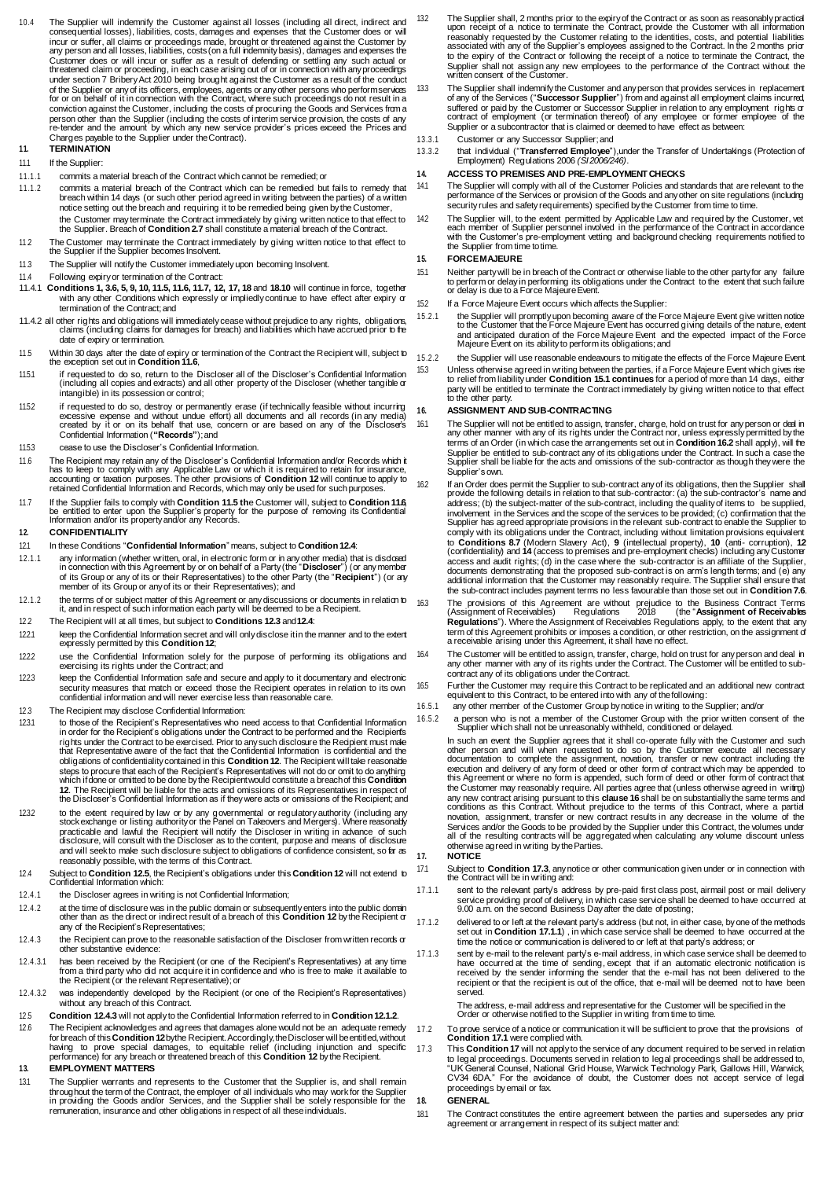- 10.4 The Supplier will indemnify the Customer against all losses (including all direct, indirect and consequential losses), liabilities, costs, damages and expenses that the Customer does or will incur or suffer, all claims or proceedings made, brought or threatened against the Customer by any person and all losses, liabilities, costs (on a full indemnity basis), damages and expenses the Customer does or will incur or suffer as a result of defending or settling any such actual or<br>threatened claim or proceeding, in each case arising out of or in connection with any proceedings<br>under section 7 Bribery Act 20 of the Supplier or any of its officers, employees, agents or any other persons who perform services for or on behalf of it in connection with the Contract, where such proceedings do not result in a conviction against the Customer, including the costs of procuring the Goods and Services from a person other than the Supplier (including the costs of interim service provision, the costs of any re-tender and the amount by which any new service provider's prices exceed the Prices and Charges payable to the Supplier under theContract). **11. TERMINATION**
- 11.1 If the Supplier:
- <span id="page-2-2"></span>11.1.1 commits a material breach of the Contract which cannot be remedied; or
- 11.1.2 commits a material breach of the Contract which can be remedied but fails to remedy that breach within 14 days (or such other period agreed in writing between the parties) of a written notice setting out the breach and requiring it to be remedied being given by the Customer, the Customer may terminate the Contract immediately by giving written notice to that effect to the Supplier. Breach of **Condition 2.7** shall constitute a material breach of the Contract.
- 11.2 The Customer may terminate the Contract immediately by giving written notice to that effect to
- the Supplier if the Supplier becomes Insolvent.
- 11.3 The Supplier will notify the Customer immediately upon becoming Insolvent.
- 11.4 Following expiry or termination of the Contract:
- 11.4.1 **Condition[s 1,](#page-0-7) [3.6,](#page-0-8) [5,](#page-1-18) [9,](#page-1-19) [10,](#page-1-14) [11.5,](#page-2-4) [11.6,](#page-2-5) [11.7,](#page-2-6) [12,](#page-2-3) [17,](#page-2-7) [18](#page-2-8)** and **[18.10](#page-3-2)** will continue in force, together with any other Conditions which expressly or impliedly continue to have effect after expiry or termination of the Contract;and
- 11.4.2 all other rights and obligations will immediately cease without prejudice to any rights, obligations, claims (including claims for damages for breach) and liabilities which have accrued prior to the date of expiry or termination.
- <span id="page-2-4"></span>11.5 Within 30 days after the date of expiry or termination of the Contract the Recipient will, subject to the exception set out in **Conditio[n11.6](#page-2-5)**,
- 11.5.1 if requested to do so, return to the Discloser all of the Discloser's Confidential Information (including all copies and extracts) and all other property of the Discloser (whether tangible or intangible) in its possession or control;
- <span id="page-2-1"></span>if requested to do so, destroy or permanently erase (if technically feasible without incurring<br>excessive expense and without undue effort) all documents and all records (in any media)<br>created by it or on its behalf that us Confidential Information (**"Records"**);and
- 11.5.3 cease to use the Discloser's Confidential Information.
- <span id="page-2-5"></span>11.6 The Recipient may retain any of the Discloser's Confidential Information and/or Records which it has to keep to comply with any Applicable Law or which it is required to retain for insurance,<br>accounting or taxation purposes. The other provisions of Conditio[n 12](#page-2-3) will continue to apply to<br>retained Confidential Informati
- <span id="page-2-6"></span>11.7 If the Supplier fails to comply with **Conditio[n 11.5](#page-2-4) th**e Customer will, subject to **Conditio[n 11.6](#page-2-5)**<br>be entitled to enter upon the Supplier's property for the purpose of removing its Confidential<br>Information and/or it

## <span id="page-2-3"></span>**12. CONFIDENTIALITY**

- <span id="page-2-0"></span>12.1 In these Conditions "**Confidential Information**" means, subject to **Conditio[n12.4](#page-2-9)**:
- 12.1.1 any information (whether written, oral, in electronic form or in any other media) that is disclosed in connection with this Agreement by or on behalf of a Party (the " **Discloser**") (or any member<br>of its Group or any of its or their Representatives) to the other Party (the "**Recipient**") (or ary<br>member of its Group or an
- <span id="page-2-13"></span>12.1.2 the terms of or subject matter of this Agreement or any discussions or documents in relation to it, and in respect of such information each party will be deemed to be a Recipient.
- 12.2 The Recipient will at all times, but subject to **Conditio[ns 12.3](#page-2-10)** and**[12.4](#page-2-9)**:
- 12.2.1 keep the Confidential Information secret and will only disclose it in the manner and to the extent expressly permitted by this **Condition [12](#page-2-3)**;
- 12.2.2 use the Confidential Information solely for the purpose of performing its obligations and exercising its rights under the Contract; and
- 12.2.3 keep the Confidential Information safe and secure and apply to it documentary and electronic security measures that match or exceed those the Recipient operates in relation to its own confidential information and will never exercise less than reasonable care.
- <span id="page-2-10"></span>12.3 The Recipient may disclose Confidential Information:
- 12.3.1 to those of the Recipient's Representatives who need access to that Confidential Information in order for the Recipient's obligations under the Contract to be performed and the Recipierts<br>rights under the Contract to be exercised. Prior to any such disclosure the Recipient must make<br>that Representative aware of th obligations of confidentiality contained in this **Conditi[on 12](#page-2-3)**. The Recipient will take reasonable<br>steps to procure that each of the Recipient's Representatives will not do or omit to do anythirg which if done or omitted to be done by the Recipient would constitute a breach of this **Condition [12](#page-2-3)**. The Recipient will be liable for the acts and omissions of its Representatives in respect of the Discloser's Confidential Information as if they were acts or omissions of the Recipient; and
- 12.3.2 to the extent required by law or by any governmental or regulatory authority (including any stock exchange or listing authority or the Panel on Takeovers and Mergers). Where reasonably practicable and lawful the Recipient will notify the Discloser in writing in advance of such disclosure, will consult with the Discloser as to the content, purpose and means of disclosure and will seek to make such disclosure subject to obligations of confidence consistent, so far as reasonably possible, with the terms of this Contract.
- <span id="page-2-9"></span>12.4 Subject to **Conditio[n 12.5](#page-2-11)**, the Recipient's obligations under this **Conditio[n 12](#page-2-3)** will not extend to Confidential Information which:
- 12.4.1 the Discloser agrees in writing is not Confidential Information;
- 12.4.2 at the time of disclosure was in the public domain or subsequently enters into the public domain other than as the direct or indirect result of a breach of this **Conditio[n 12](#page-2-3)** by the Recipient or any of the Recipient's Representatives:
- <span id="page-2-12"></span>12.4.3 the Recipient can prove to the reasonable satisfaction of the Discloser from written records or other substantive evidence:
- 12.4.3.1 has been received by the Recipient (or one of the Recipient's Representatives) at any time from a third party who did not acquire it in confidence and who is free to make it available to the Recipient (or the relevant Representative);or
- 12.4.3.2 was independently developed by the Recipient (or one of the Recipient's Representatives) without any breach of this Contract.
- <span id="page-2-11"></span>12.5 **Condition [12.4.3](#page-2-12)** will not apply to the Confidential Information referred to in **Conditio[n12.1.2](#page-2-13)**.
- 12.6 The Recipient acknowledges and agrees that damages alone would not be an adequate remedy for breach of this **Conditio[n 12](#page-2-3)** bythe Recipient. Accordingly, the Discloser will beentitled, without<br>having to prove special damages, to equitable relief (including injunction and specific<br>performance) for any breach or

**13. EMPLOYMENT MATTERS**

13.1 The Supplier warrants and represents to the Customer that the Supplier is, and shall remain throughout the term of the Contract, the employer of all individuals who may work for the Supplier in providing the Goods and/or Services, and the Supplier shall be solely responsible for the remuneration, insurance and other obligations in respect of all these individuals.

- 13.2 The Supplier shall, 2 months prior to the expiry of the Contract or as soon as reasonably practical upon receipt of a notice to terminate the Contract, provide the Customer with all information reasonably requested by the Customer relating to the identities, costs, and potential liabilities associated with any of the Supplier's employees assigned to the Contract. In the 2 months prior to the expiry of the Contract or following the receipt of a notice to terminate the Contract, the Supplier shall not assign any new employees to the performance of the Contract without the written consent of the Customer.
- 13.3 The Supplier shall indemnify the Customer and any person that provides services in replacement of any of the Services ("**Successor Supplier**") from and against all employment claims incurred, suffered or paid by the Customer or Successor Supplier in relation to any employment rights or contract of employment (or termination thereof) of any employee or former employee of the Supplier or a subcontractor that is claimed or deemed to have effect as between:
- 13.3.1 Customer or any Successor Supplier;and
- 13.3.2 that individual ("**Transferred Employee**"),under the Transfer of Undertakings (Protection of Employment) Regulations 2006 *(SI2006/246)*.
- <span id="page-2-16"></span>**14. ACCESS TO PREMISES AND PRE-EMPLOYMENT CHECKS**
- 14.1 The Supplier will comply with all of the Customer Policies and standards that are relevant to the performance of the Services or provision of the Goods and any other on site regulations (including security rules and safety requirements) specified bythe Customer from time to time.
- The Supplier will, to the extent permitted by Applicable Law and required by the Customer, vet<br>each member of Supplier personnel involved in the performance of the Contract in accordance<br>with the Customer's pre-employment the Supplier from time to time

# **15. FORCEMAJEURE**

- <span id="page-2-14"></span>15.1 Neither party will be in breach of the Contract or otherwise liable to the other party for any failure to perform or delay in performing its obligations under the Contract to the extent that such failure or delay is due to a Force MajeureEvent.
- 15.2 If a Force Majeure Event occurs which affects theSupplier:
- 15.2.1 the Supplier will promptly upon becoming aware of the Force Majeure Event give written notice to the Customer that the Force Majeure Event has occurred giving details of the nature, extent and anticipated duration of the Force Majeure Event and the expected impact of the Force Majeure Event on its ability to perform its obligations; and
- 15.2.2 the Supplier will use reasonable endeavours to mitigate the effects of the Force Majeure Event. 15.3 Unless otherwise agreed in writing between the parties, if a Force Majeure Event which gives rise to relief from liability under **Conditio[n 15.1](#page-2-14) continues** for a period of more than 14 days, either party will be entitled to terminate the Contract immediately by giving written notice to that effect to the other party.

# **16. ASSIGNMENT AND SUB-CONTRACTING**

- 16.1 The Supplier will not be entitled to assign, transfer, charge, hold on trust for any person or ded in<br>any other manner with any of its rights under the Contract nor, unless expressly permitted by the<br>terms of an Order Supplier'sown.
- <span id="page-2-15"></span>16.2 If an Order does permit the Supplier to sub-contract any of its obligations, then the Supplier shall provide the following details in relation to that sub-contractor: (a) the sub-contractor's name and address; (b) the subject-matter of the sub-contract, including the quality of items to be supplied, involvement in the Services and the scope of the services to be provided; (c) confirmation that the Supplier has agreed appropriate provisions in the relevant sub-contract to enable the Supplier to comply with its obligations under the Contract, including without limitation provisions equivalent<br>to Condition[s 8.7](#page-1-20) (Modern Slavery Act), [9](#page-1-19) (intellectual property), [10](#page-1-14) (anti- corruption), [12](#page-2-3)<br>(confidentiality) and [14](#page-2-16) (acce access and audit rights; (d) in the case where the sub-contractor is an affiliate of the Supplier, documents demonstrating that the proposed sub-contract is on arm's length terms; and (e) any additional information that the Customer may reasonably require. The Supplier shall ensure that the sub-contract includes payment terms no less favourable than those set out in **Conditi[on7.6](#page-1-9)**. 163 The provisions of this Agreement are without prejudice to the Business Contract Terms<br>(Assignment of Receivables) Regulations 2018 (the "Assignment of Receivables")<br>Regulations"). Where the Assignment of Receivables Re term of this Agreement prohibits or imposes a condition, or other restriction, on the assignment of<br>a receivable arising under this Agreement, it shall have no effect.
- 16.4 The Customer will be entitled to assign, transfer, charge, hold on trust for any person and deal in any other manner with any of its rights under the Contract. The Customer will be entitled to subcontract any of its obligations under theContract.
- 16.5 Further the Customer may require this Contract to be replicated and an additional new contract equivalent to this Contract, to be entered into with any of thefollowing:
- 16.5.1 any other member of the Customer Group bynotice in writing to the Supplier; and/or
- 16.5.2 a person who is not a member of the Customer Group with the prior written consent of the Supplier which shall not be unreasonably withheld, conditioned or delayed.

In such an event the Supplier agrees that it shall co-operate fully with the Customer and such other person and will when requested to do so by the Customer execute all necessary documentation to complete the assignment, novation, transfer or new contract including the execution and delivery of any form of deed or other form of contract which may be appended to this Agreement or where no form is appended, such form of deed or other form of contract that the Customer may reasonably require. All parties agree that (unless otherwise agreed in writing)<br>any new contract arising pursuant to this **clause 16** shall be on substantially the same terms and<br>conditions as this Contrac Services and/or the Goods to be provided by the Supplier under this Contract, the volumes under all of the resulting contracts will be aggregated when calculating any volume discount unless otherwise agreed in writing by theParties.

<span id="page-2-7"></span>**17. NOTICE**

<span id="page-2-19"></span>17.1 Subject to **Conditio[n 17.3](#page-2-17)**, any notice or other communication given under or in connection with the Contract will be in writing and:

- <span id="page-2-18"></span>17.1.1 sent to the relevant party's address by pre-paid first class post, airmail post or mail delivery<br>service providing proof of delivery, in which case service shall be deemed to have occurred at<br>9.00 a.m. on the second
- 17.1.2 delivered to or left at the relevant party's address (but not, in either case, by one of the methods set out in **Conditio[n 17.1.1](#page-2-18)**) , in which case service shall be deemed to have occurred at the time the notice or communication is delivered to or left at that party's address; or
- 17.1.3 sent by e-mail to the relevant party's e-mail address, in which case service shall be deemed to have occurred at the time of sending, except that if an automatic electronic notification is received by the sender informing the sender that the e-mail has not been delivered to the recipient or that the recipient is out of the office, that e-mail will be deemed not to have been served.

The address, e-mail address and representative for the Customer will be specified in the Order or otherwise notified to the Supplier in writing from time to time.

- 17.2 To prove service of a notice or communication it will be sufficient to prove that the provisions of **Conditio[n 17.1](#page-2-19)** were complied with.
- <span id="page-2-17"></span>17.3 This **Conditio[n 17](#page-2-7)** will not apply to the service of any document required to be served in relation to legal proceedings. Documents served in relation to legal proceedings shall be addressed to, "UK General Counsel, National Grid House, Warwick Technology Park, Gallows Hill, Warwick, CV34 6DA." For the avoidance of doubt, the Customer does not accept service of legal proceedings by email or fax.

# <span id="page-2-8"></span>**18. GENERAL**

<span id="page-2-20"></span>18.1 The Contract constitutes the entire agreement between the parties and supersedes any prior agreement or arrangement in respect of its subject matter and: